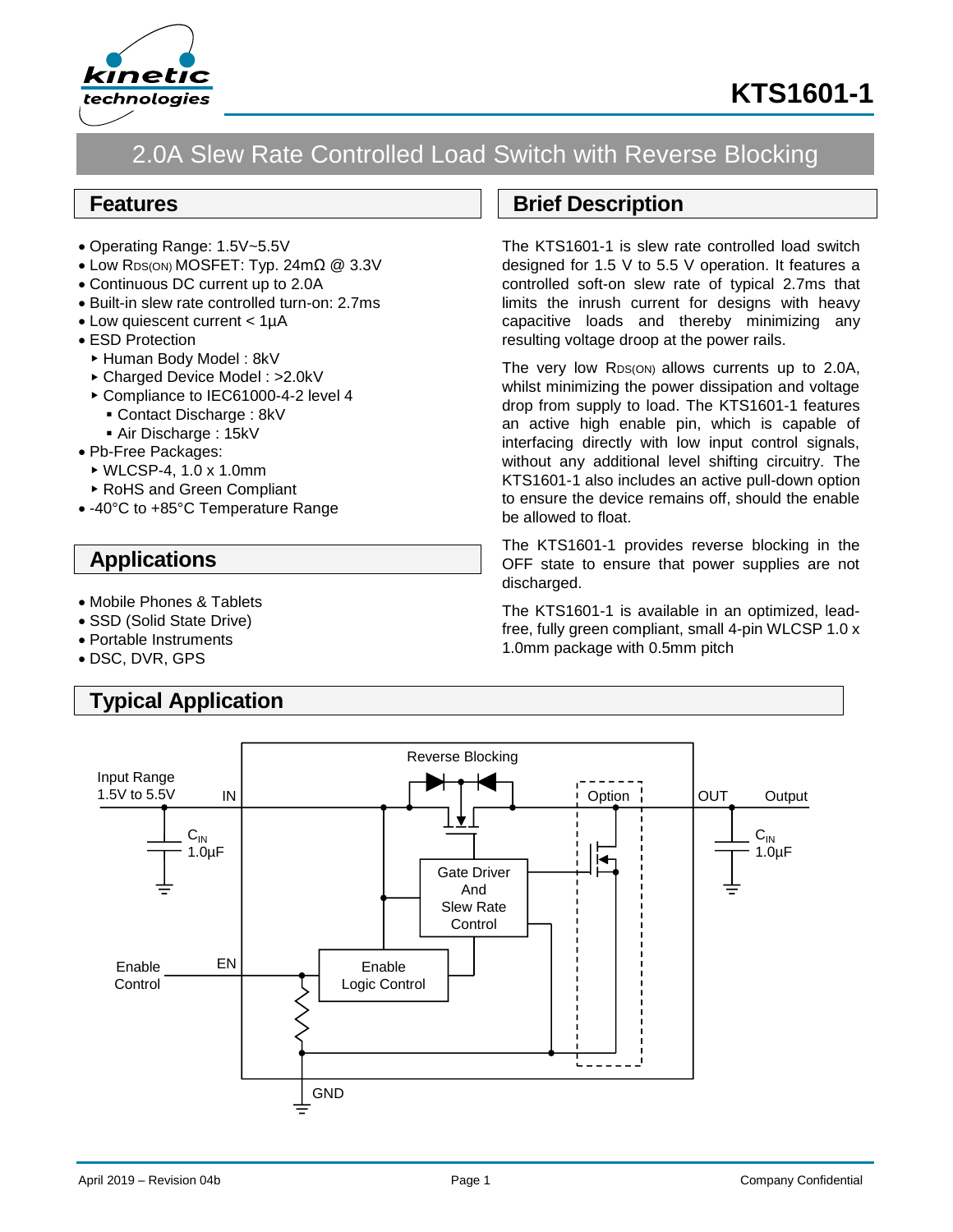

# **KTS1601-1**

## 2.0A Slew Rate Controlled Load Switch with Reverse Blocking

#### **Features**

- Operating Range: 1.5V~5.5V
- Low RDS(ON) MOSFET: Typ. 24mΩ @ 3.3V
- Continuous DC current up to 2.0A
- Built-in slew rate controlled turn-on: 2.7ms
- Low quiescent current < 1µA
- ESD Protection
	- ▶ Human Body Model: 8kV
	- Charged Device Model : >2.0kV
	- ▶ Compliance to IEC61000-4-2 level 4
		- Contact Discharge : 8kV
		- Air Discharge: 15kV
- Pb-Free Packages:
	- WLCSP-4, 1.0 x 1.0mm
- RoHS and Green Compliant
- -40°C to +85°C Temperature Range

### **Applications**

- Mobile Phones & Tablets
- SSD (Solid State Drive)
- Portable Instruments
- DSC, DVR, GPS

## **Typical Application**

#### **Brief Description**

The KTS1601-1 is slew rate controlled load switch designed for 1.5 V to 5.5 V operation. It features a controlled soft-on slew rate of typical 2.7ms that limits the inrush current for designs with heavy capacitive loads and thereby minimizing any resulting voltage droop at the power rails.

The very low RDS(ON) allows currents up to 2.0A, whilst minimizing the power dissipation and voltage drop from supply to load. The KTS1601-1 features an active high enable pin, which is capable of interfacing directly with low input control signals, without any additional level shifting circuitry. The KTS1601-1 also includes an active pull-down option to ensure the device remains off, should the enable be allowed to float.

The KTS1601-1 provides reverse blocking in the OFF state to ensure that power supplies are not discharged.

The KTS1601-1 is available in an optimized, leadfree, fully green compliant, small 4-pin WLCSP 1.0 x 1.0mm package with 0.5mm pitch

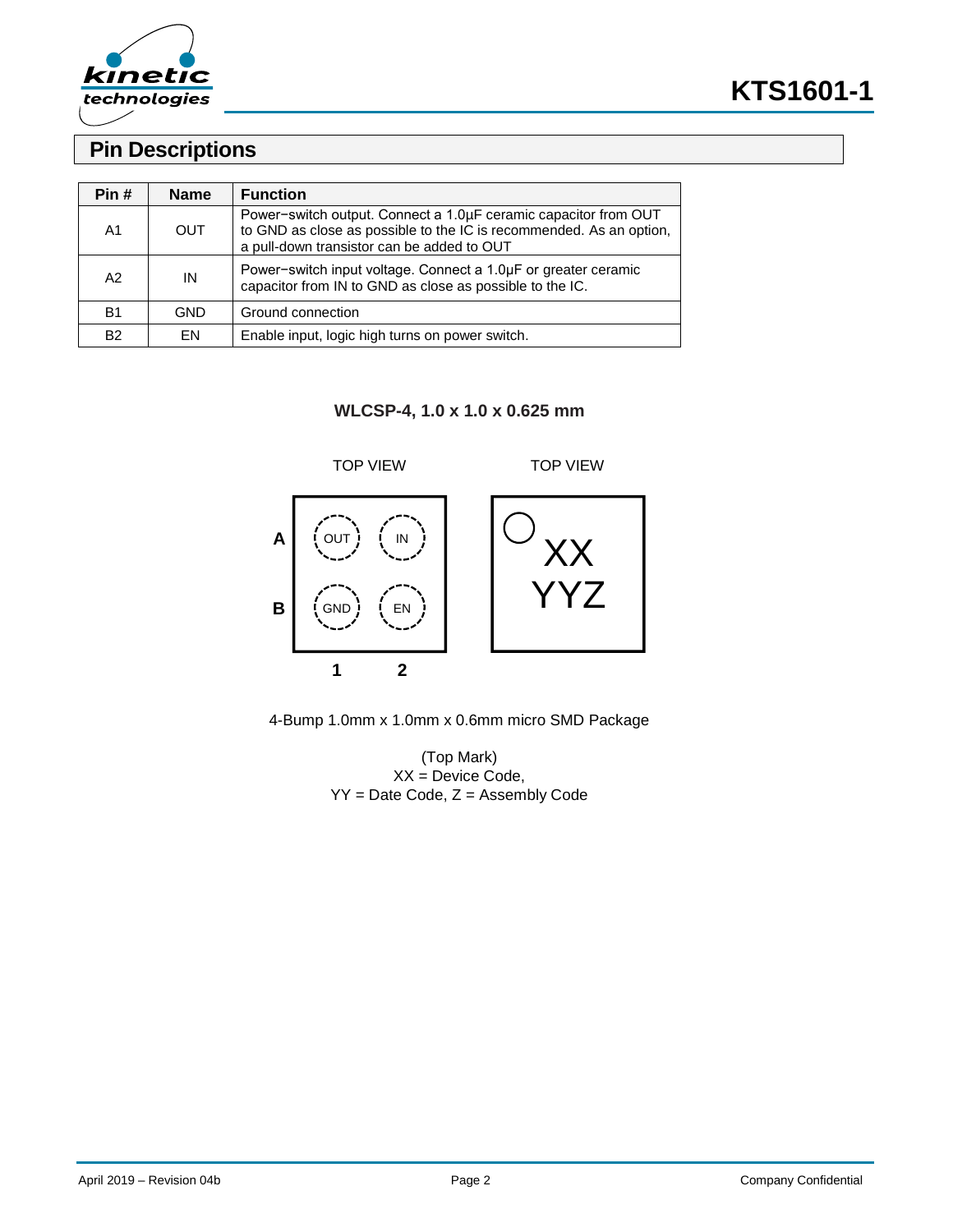

### **Pin Descriptions**

| Pin #     | <b>Name</b> | <b>Function</b>                                                                                                                                                                      |
|-----------|-------------|--------------------------------------------------------------------------------------------------------------------------------------------------------------------------------------|
| A1        | OUT         | Power-switch output. Connect a 1.0µF ceramic capacitor from OUT<br>to GND as close as possible to the IC is recommended. As an option,<br>a pull-down transistor can be added to OUT |
| A2        | IN          | Power-switch input voltage. Connect a 1.0µF or greater ceramic<br>capacitor from IN to GND as close as possible to the IC.                                                           |
| <b>B1</b> | GND         | Ground connection                                                                                                                                                                    |
| <b>B2</b> | EN          | Enable input, logic high turns on power switch.                                                                                                                                      |

**WLCSP-4, 1.0 x 1.0 x 0.625 mm**



4-Bump 1.0mm x 1.0mm x 0.6mm micro SMD Package

(Top Mark) XX = Device Code, YY = Date Code, Z = Assembly Code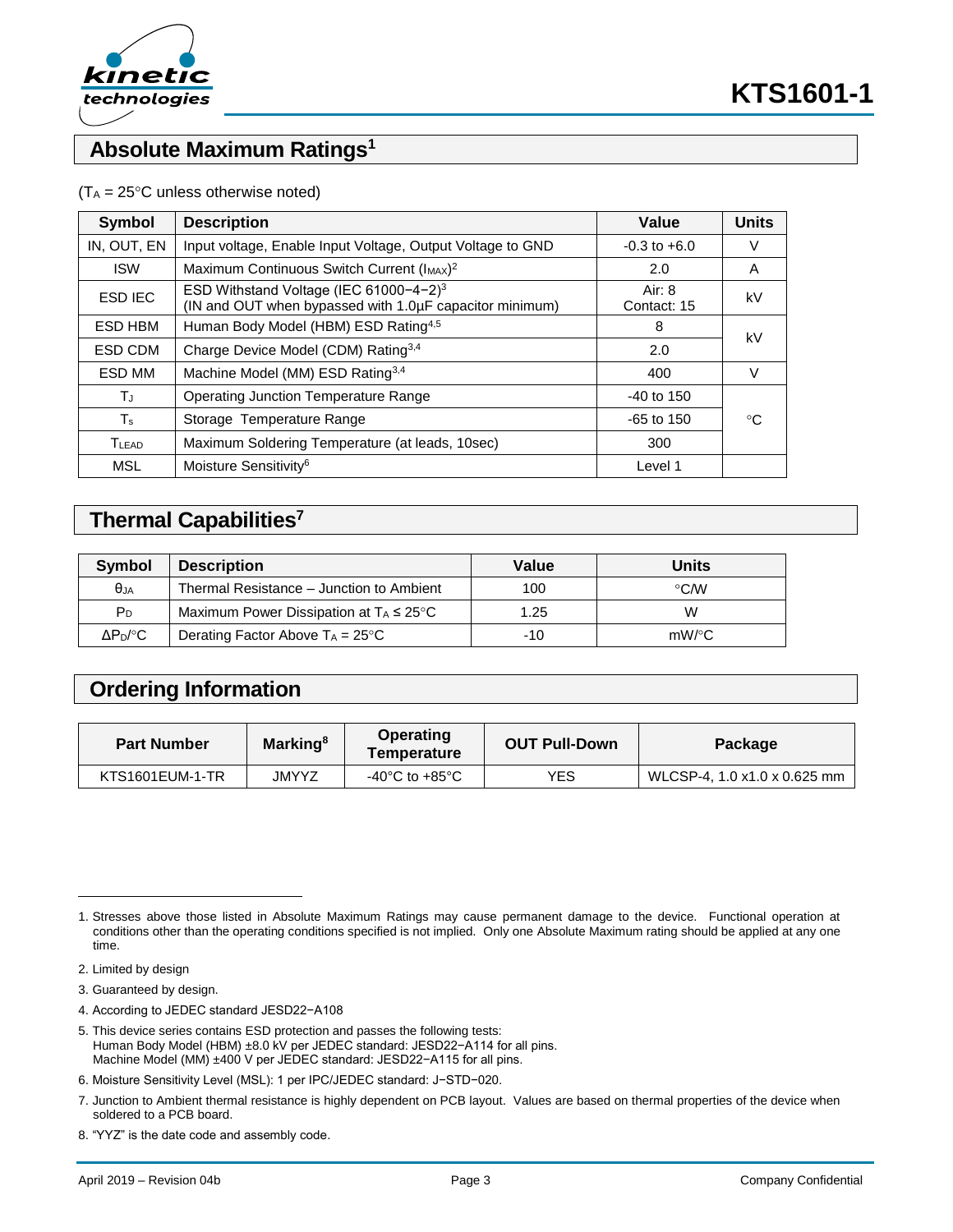

### **Absolute Maximum Ratings<sup>1</sup>**

#### $(T_A = 25^{\circ}C$  unless otherwise noted)

| Symbol            | <b>Description</b>                                                                                            | Value                   | <b>Units</b> |  |
|-------------------|---------------------------------------------------------------------------------------------------------------|-------------------------|--------------|--|
| IN, OUT, EN       | Input voltage, Enable Input Voltage, Output Voltage to GND                                                    | $-0.3$ to $+6.0$        | V            |  |
| <b>ISW</b>        | Maximum Continuous Switch Current (IMAX) <sup>2</sup>                                                         | 2.0                     | A            |  |
| <b>ESD IEC</b>    | ESD Withstand Voltage (IEC 61000-4-2) <sup>3</sup><br>(IN and OUT when bypassed with 1.0µF capacitor minimum) | Air: $8$<br>Contact: 15 | kV           |  |
| ESD HBM           | Human Body Model (HBM) ESD Rating <sup>4,5</sup>                                                              | 8                       |              |  |
| ESD CDM           | Charge Device Model (CDM) Rating <sup>3,4</sup>                                                               | 2.0                     | kV           |  |
| ESD MM            | Machine Model (MM) ESD Rating <sup>3,4</sup>                                                                  | 400                     | V            |  |
| ТJ                | <b>Operating Junction Temperature Range</b>                                                                   | $-40$ to 150            |              |  |
| $T_{\rm s}$       | Storage Temperature Range                                                                                     | $-65$ to 150            | °C           |  |
| T <sub>LEAD</sub> | Maximum Soldering Temperature (at leads, 10sec)                                                               | 300                     |              |  |
| <b>MSL</b>        | Moisture Sensitivity <sup>6</sup>                                                                             | Level 1                 |              |  |

### **Thermal Capabilities<sup>7</sup>**

| Symbol           | <b>Description</b>                                  | Value | Units      |
|------------------|-----------------------------------------------------|-------|------------|
| $\theta_{JA}$    | Thermal Resistance – Junction to Ambient            | 100   | $\circ$ CM |
| $P_D$            | Maximum Power Dissipation at $T_A \leq 25^{\circ}C$ | 1.25  | W          |
| $\Delta P_D$ /°C | Derating Factor Above $T_A = 25^{\circ}C$           | -10   | $mW$ /°C   |

### **Ordering Information**

| <b>Part Number</b> | <b>Marking</b> <sup>8</sup> | Operating<br>Temperature | <b>OUT Pull-Down</b> | Package                      |
|--------------------|-----------------------------|--------------------------|----------------------|------------------------------|
| KTS1601EUM-1-TR    | JMYYZ                       | -40°C to +85°C           | YES                  | WLCSP-4, 1.0 x1.0 x 0.625 mm |

l

3. Guaranteed by design.

- 4. According to JEDEC standard JESD22−A108
- 5. This device series contains ESD protection and passes the following tests: Human Body Model (HBM) ±8.0 kV per JEDEC standard: JESD22−A114 for all pins. Machine Model (MM) ±400 V per JEDEC standard: JESD22−A115 for all pins.

<sup>1.</sup> Stresses above those listed in Absolute Maximum Ratings may cause permanent damage to the device. Functional operation at conditions other than the operating conditions specified is not implied. Only one Absolute Maximum rating should be applied at any one time.

<sup>2.</sup> Limited by design

<sup>6.</sup> Moisture Sensitivity Level (MSL): 1 per IPC/JEDEC standard: J−STD−020.

<sup>7.</sup> Junction to Ambient thermal resistance is highly dependent on PCB layout. Values are based on thermal properties of the device when soldered to a PCB board.

<sup>8.</sup> "YYZ" is the date code and assembly code.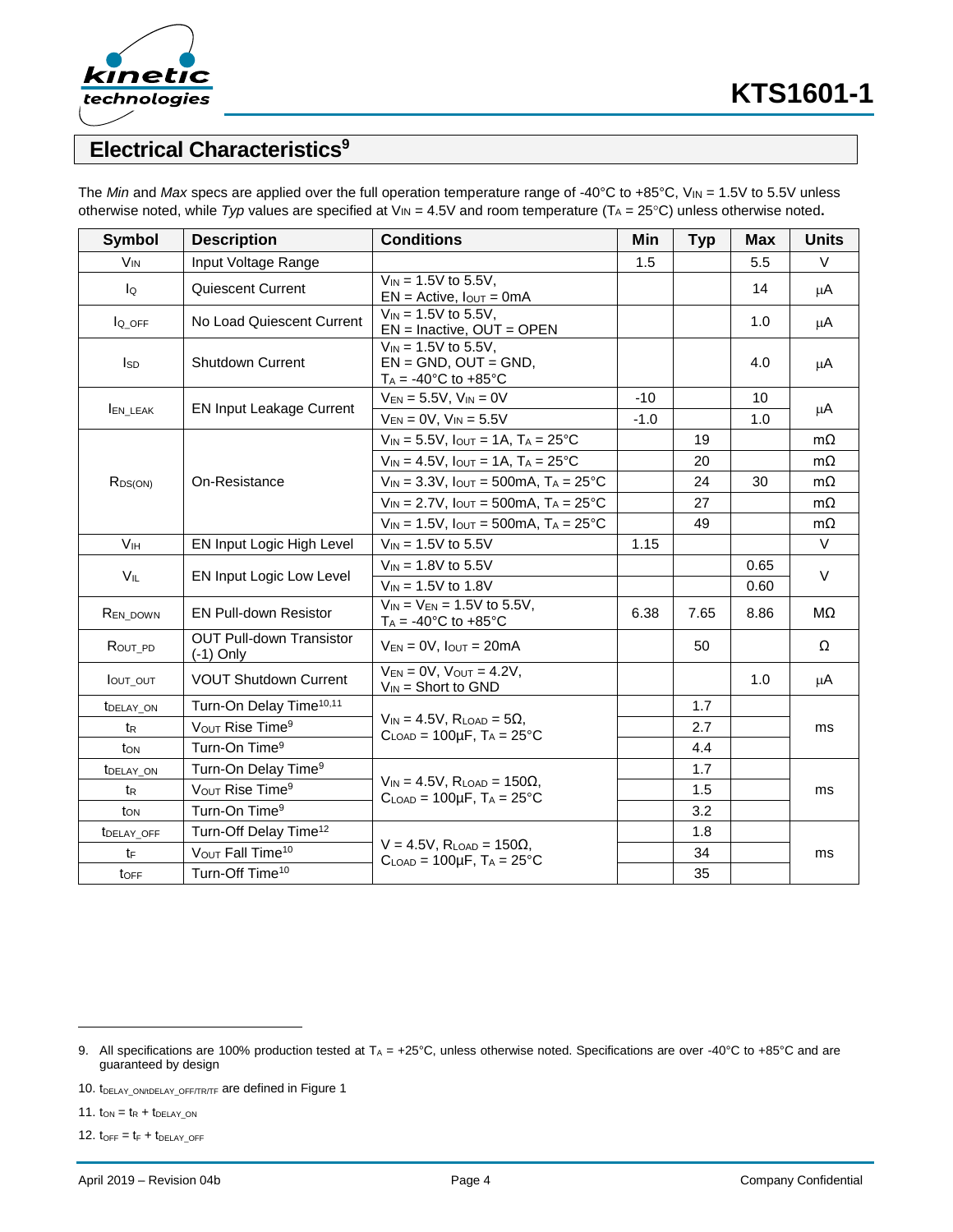

### **Electrical Characteristics<sup>9</sup>**

| <b>Symbol</b>           | <b>Description</b>                                                                                                                              | <b>Conditions</b>                                                                                  | Min    | <b>Typ</b> | <b>Max</b> | <b>Units</b> |  |
|-------------------------|-------------------------------------------------------------------------------------------------------------------------------------------------|----------------------------------------------------------------------------------------------------|--------|------------|------------|--------------|--|
| <b>V<sub>IN</sub></b>   | Input Voltage Range                                                                                                                             |                                                                                                    | 1.5    |            | 5.5        | $\vee$       |  |
| lo                      | Quiescent Current                                                                                                                               | $V_{IN} = 1.5V$ to 5.5V,<br>$EN = Active, IOUT = 0mA$                                              |        |            | 14         | μA           |  |
| l <sub>Q</sub> OFF      | No Load Quiescent Current                                                                                                                       | $V_{IN} = 1.5V$ to 5.5V.<br>$EN = Inactive, OUT = OPEN$                                            |        |            | 1.0        | μA           |  |
| <b>I</b> sp             | <b>Shutdown Current</b>                                                                                                                         | $V_{IN} = 1.5V$ to 5.5V.<br>$EN = GND$ . OUT = GND.<br>$T_A = -40^{\circ}C$ to $+85^{\circ}C$      |        |            | 4.0        | μA           |  |
|                         | <b>EN Input Leakage Current</b>                                                                                                                 | $V_{EN} = 5.5V$ , $V_{IN} = 0V$                                                                    | $-10$  |            | 10         | μA           |  |
| <b>EN_LEAK</b>          |                                                                                                                                                 | $V_{EN} = 0V$ , $V_{IN} = 5.5V$                                                                    | $-1.0$ |            | 1.0        |              |  |
|                         |                                                                                                                                                 | $V_{IN} = 5.5V$ , $I_{OUT} = 1A$ , $T_A = 25^{\circ}C$                                             |        | 19         |            | $m\Omega$    |  |
|                         |                                                                                                                                                 | $V_{IN} = 4.5V$ , $I_{OUT} = 1A$ , $T_A = 25^{\circ}C$                                             |        | 20         |            | $m\Omega$    |  |
| $R_{DS(ON)}$            | On-Resistance                                                                                                                                   | $V_{IN}$ = 3.3V, $I_{OUT}$ = 500mA, $T_A$ = 25°C                                                   |        | 24         | 30         | $m\Omega$    |  |
|                         |                                                                                                                                                 | $V_{IN} = 2.7V$ , $I_{OUT} = 500mA$ , $T_A = 25°C$                                                 |        | 27         |            | $m\Omega$    |  |
|                         |                                                                                                                                                 | $V_{IN} = 1.5V$ , $I_{OUT} = 500mA$ , $T_A = 25°C$                                                 |        | 49         |            | $m\Omega$    |  |
| V <sub>IH</sub>         | EN Input Logic High Level                                                                                                                       | $V_{IN} = 1.5V$ to 5.5V                                                                            | 1.15   |            |            | V            |  |
| VIL                     | EN Input Logic Low Level                                                                                                                        | $V_{IN} = 1.8V$ to 5.5V                                                                            |        |            | 0.65       | $\vee$       |  |
|                         |                                                                                                                                                 | $V_{IN} = 1.5V$ to 1.8V                                                                            |        |            | 0.60       |              |  |
| REN_DOWN                | <b>EN Pull-down Resistor</b>                                                                                                                    | $V_{IN} = V_{EN} = 1.5V$ to 5.5V,<br>$T_A = -40^{\circ}$ C to $+85^{\circ}$ C                      | 6.38   | 7.65       | 8.86       | MΩ           |  |
| ROUT_PD                 | <b>OUT Pull-down Transistor</b><br>$(-1)$ Only                                                                                                  | $V_{EN} = 0V$ , $I_{OUT} = 20mA$                                                                   |        | 50         |            | Ω            |  |
| <b>lout out</b>         | <b>VOUT Shutdown Current</b>                                                                                                                    | $V_{EN} = 0V$ , $V_{OUT} = 4.2V$ ,<br>$V_{IN}$ = Short to GND                                      |        |            | 1.0        | μA           |  |
| <b><i>tDELAY ON</i></b> | Turn-On Delay Time <sup>10,11</sup>                                                                                                             |                                                                                                    |        | 1.7        |            |              |  |
| tr                      | VOUT Rise Time <sup>9</sup>                                                                                                                     | $V_{IN} = 4.5V$ , R <sub>LOAD</sub> = 5 $\Omega$ ,<br>$C_{LOAD} = 100 \mu F$ , $T_A = 25^{\circ}C$ |        | 2.7        |            | ms           |  |
| ton                     | Turn-On Time <sup>9</sup>                                                                                                                       |                                                                                                    |        | 4.4        |            |              |  |
| <b><i>IDELAY ON</i></b> | Turn-On Delay Time <sup>9</sup>                                                                                                                 |                                                                                                    |        | 1.7        |            |              |  |
| $t_{\mathsf{R}}$        | $V_{IN} = 4.5V$ , R <sub>LOAD</sub> = 150 $\Omega$ ,<br>V <sub>OUT</sub> Rise Time <sup>9</sup><br>$C_{LOAD} = 100 \mu F$ , $T_A = 25^{\circ}C$ |                                                                                                    |        | 1.5        |            | ms           |  |
| t <sub>on</sub>         | Turn-On Time <sup>9</sup>                                                                                                                       |                                                                                                    |        | 3.2        |            |              |  |
| TDELAY_OFF              | Turn-Off Delay Time <sup>12</sup>                                                                                                               |                                                                                                    |        | 1.8        |            |              |  |
| tF                      | VOUT Fall Time <sup>10</sup>                                                                                                                    | $V = 4.5V$ , $R_{LOAD} = 150\Omega$ ,<br>$C_{LOAD} = 100 \mu F$ , $T_A = 25^{\circ}C$              |        | 34         |            | ms           |  |
| toFF                    | Turn-Off Time <sup>10</sup>                                                                                                                     |                                                                                                    |        | 35         |            |              |  |

The *Min* and *Max* specs are applied over the full operation temperature range of -40°C to +85°C,  $V_{IN}$  = 1.5V to 5.5V unless otherwise noted, while *Typ* values are specified at V<sub>IN</sub> = 4.5V and room temperature (T<sub>A</sub> = 25°C) unless otherwise noted.

11.  $t_{ON} = t_R + t_{DELAY\_ON}$ 

<span id="page-3-0"></span>l

12.  $t_{OFF} = t_F + t_{DELAY\_OFF}$ 

<sup>9.</sup> All specifications are 100% production tested at  $T_A = +25^\circ \text{C}$ , unless otherwise noted. Specifications are over -40°C to +85°C and are guaranteed by design

<sup>10.</sup> t<sub>DELAY\_ON/tDELAY\_OFF/TR/TF</sub> are defined in Figure 1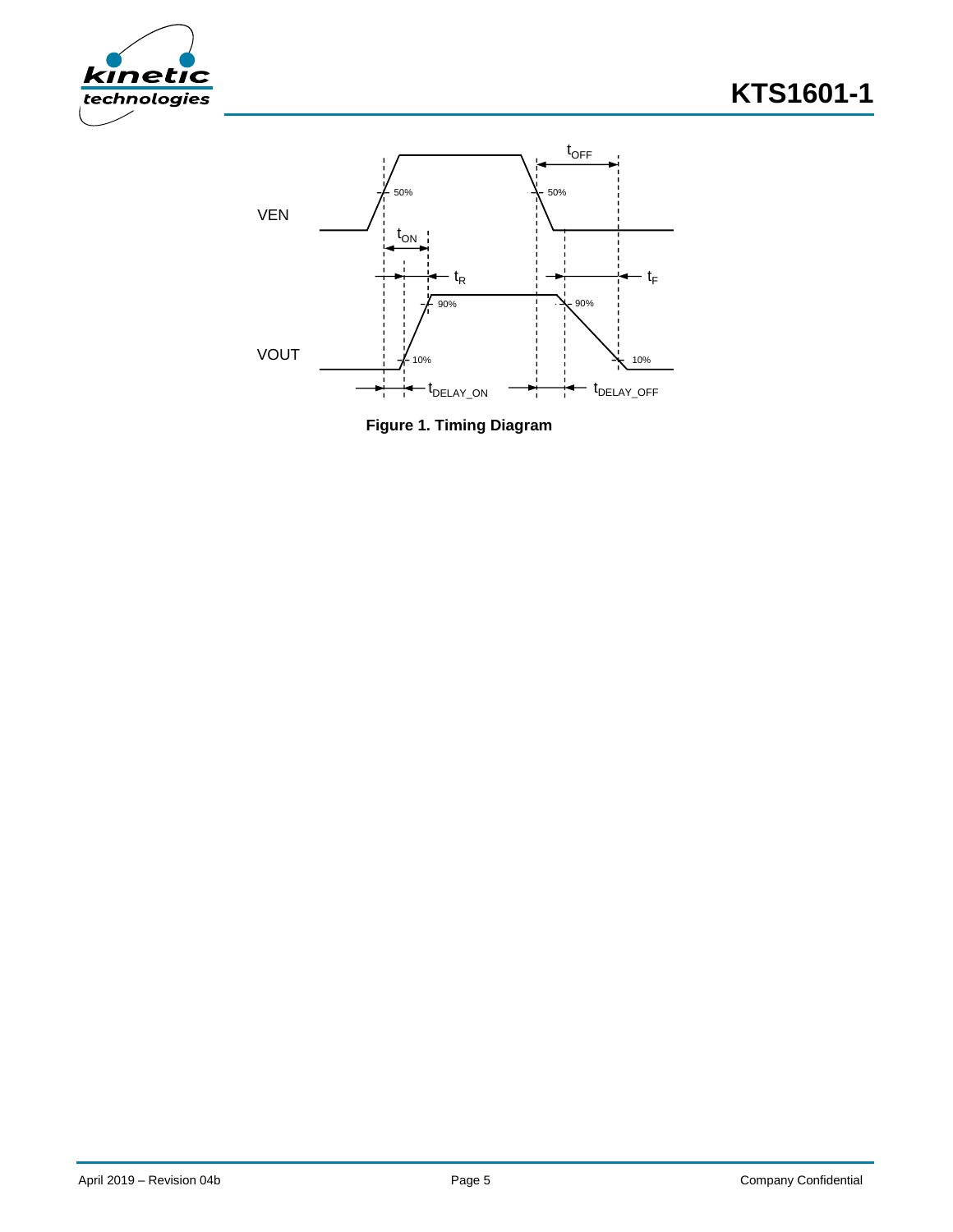



**Figure 1. Timing Diagram**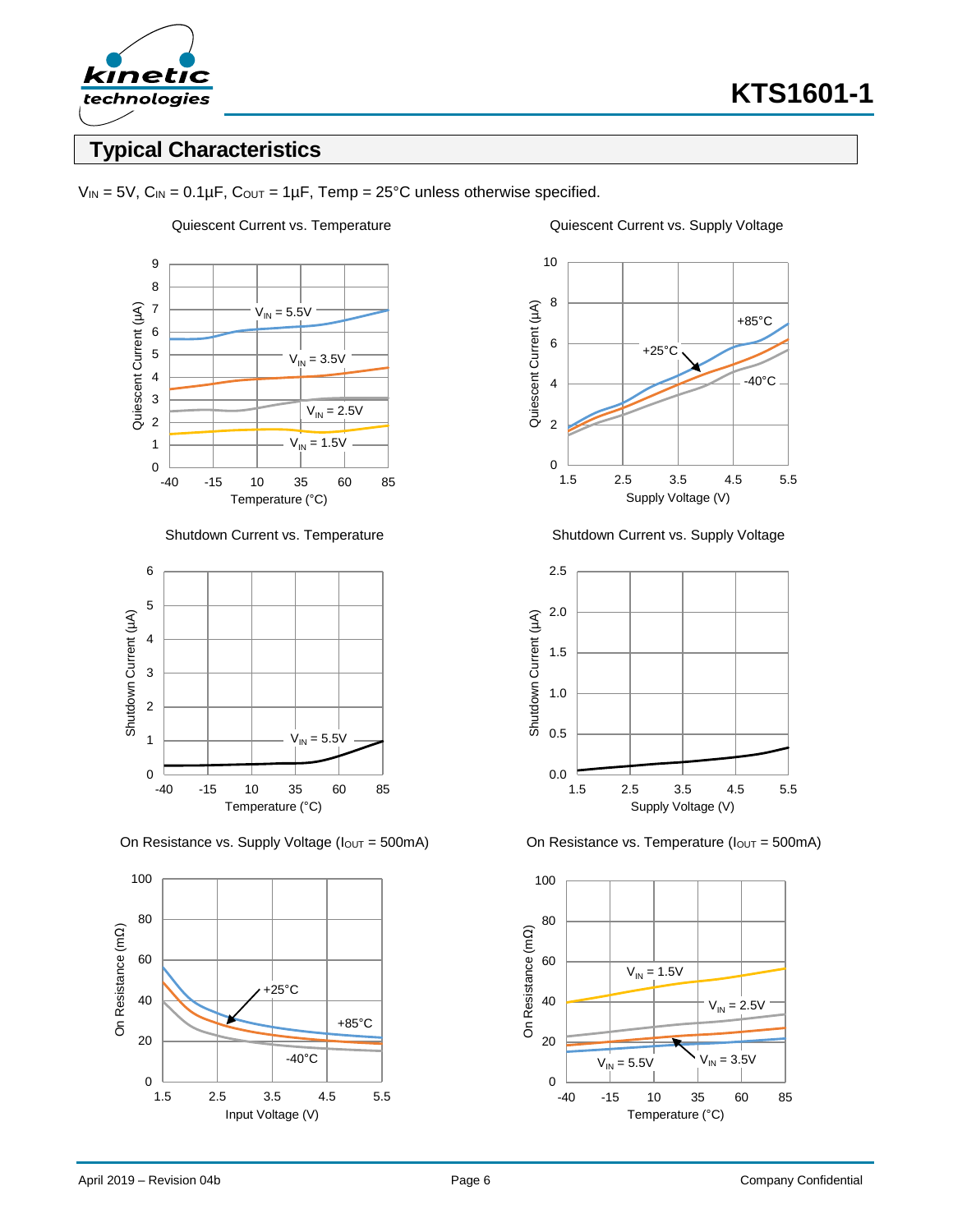

### **Typical Characteristics**



 $V_{IN} = 5V$ ,  $C_{IN} = 0.1 \mu F$ ,  $C_{OUT} = 1 \mu F$ ,  $Temp = 25^{\circ}C$  unless otherwise specified.



On Resistance vs. Supply Voltage ( $I_{\text{OUT}} = 500 \text{mA}$ ) On Resistance vs. Temperature ( $I_{\text{OUT}} = 500 \text{mA}$ )





Shutdown Current vs. Temperature Shutdown Current vs. Supply Voltage



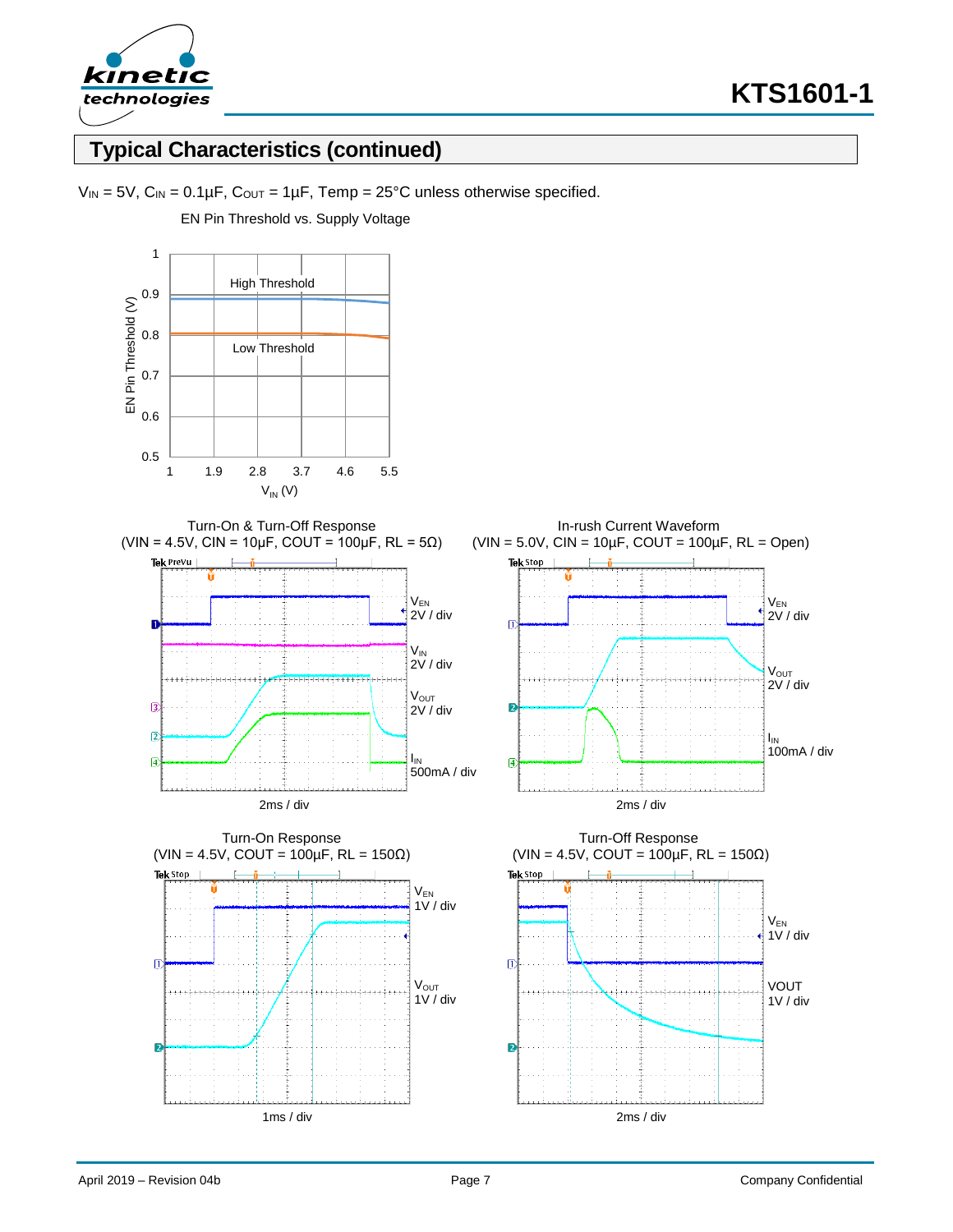

### **Typical Characteristics (continued)**



EN Pin Threshold vs. Supply Voltage











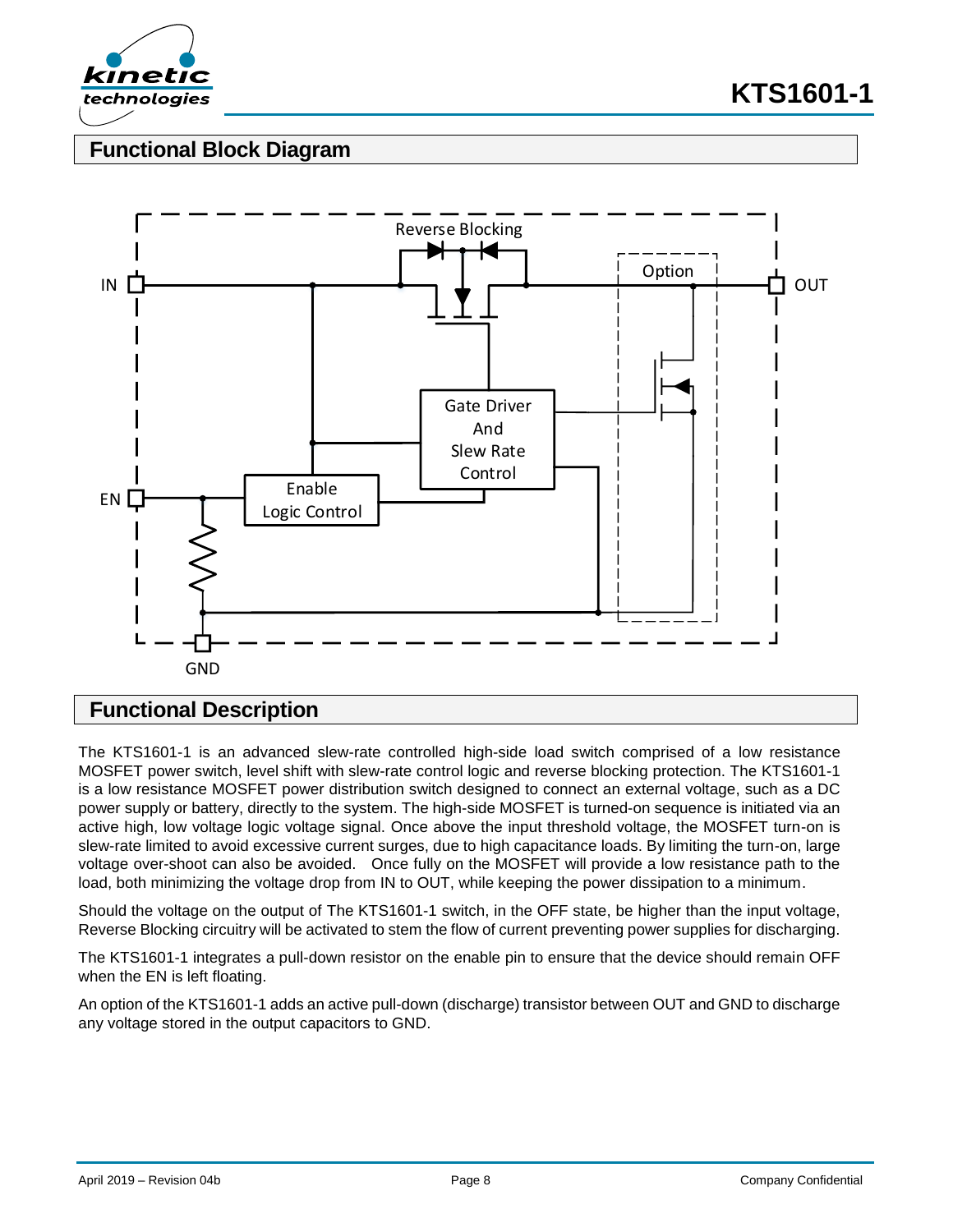

### **Functional Block Diagram**



#### **Functional Description**

The KTS1601-1 is an advanced slew-rate controlled high-side load switch comprised of a low resistance MOSFET power switch, level shift with slew-rate control logic and reverse blocking protection. The KTS1601-1 is a low resistance MOSFET power distribution switch designed to connect an external voltage, such as a DC power supply or battery, directly to the system. The high-side MOSFET is turned-on sequence is initiated via an active high, low voltage logic voltage signal. Once above the input threshold voltage, the MOSFET turn-on is slew-rate limited to avoid excessive current surges, due to high capacitance loads. By limiting the turn-on, large voltage over-shoot can also be avoided. Once fully on the MOSFET will provide a low resistance path to the load, both minimizing the voltage drop from IN to OUT, while keeping the power dissipation to a minimum.

Should the voltage on the output of The KTS1601-1 switch, in the OFF state, be higher than the input voltage, Reverse Blocking circuitry will be activated to stem the flow of current preventing power supplies for discharging.

The KTS1601-1 integrates a pull-down resistor on the enable pin to ensure that the device should remain OFF when the EN is left floating.

An option of the KTS1601-1 adds an active pull-down (discharge) transistor between OUT and GND to discharge any voltage stored in the output capacitors to GND.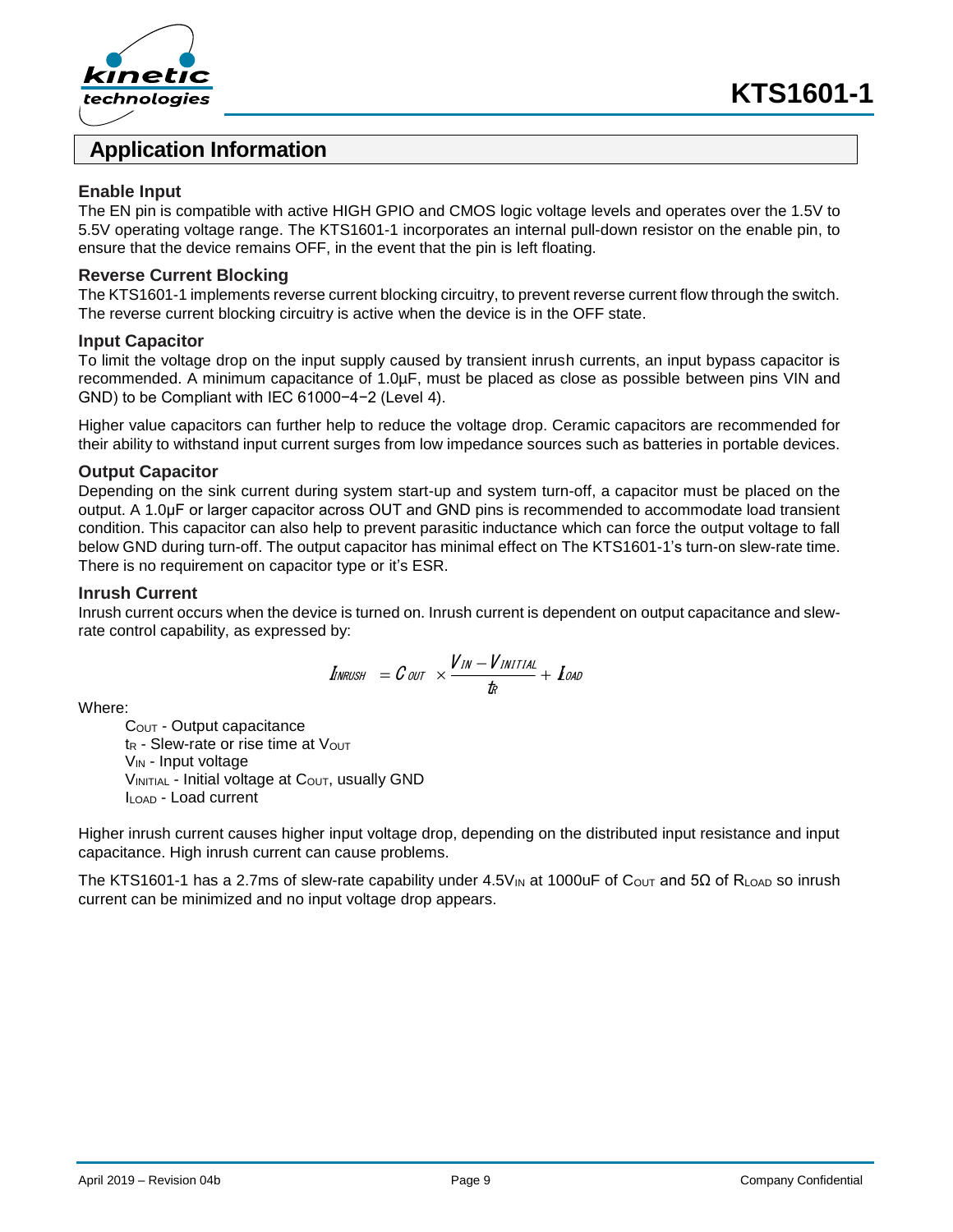



### **Application Information**

#### **Enable Input**

The EN pin is compatible with active HIGH GPIO and CMOS logic voltage levels and operates over the 1.5V to 5.5V operating voltage range. The KTS1601-1 incorporates an internal pull-down resistor on the enable pin, to ensure that the device remains OFF, in the event that the pin is left floating.

#### **Reverse Current Blocking**

The KTS1601-1 implements reverse current blocking circuitry, to prevent reverse current flow through the switch. The reverse current blocking circuitry is active when the device is in the OFF state.

#### **Input Capacitor**

To limit the voltage drop on the input supply caused by transient inrush currents, an input bypass capacitor is recommended. A minimum capacitance of 1.0µF, must be placed as close as possible between pins VIN and GND) to be Compliant with IEC 61000−4−2 (Level 4).

Higher value capacitors can further help to reduce the voltage drop. Ceramic capacitors are recommended for their ability to withstand input current surges from low impedance sources such as batteries in portable devices.

#### **Output Capacitor**

Depending on the sink current during system start-up and system turn-off, a capacitor must be placed on the output. A 1.0μF or larger capacitor across OUT and GND pins is recommended to accommodate load transient condition. This capacitor can also help to prevent parasitic inductance which can force the output voltage to fall below GND during turn-off. The output capacitor has minimal effect on The KTS1601-1's turn-on slew-rate time. There is no requirement on capacitor type or it's ESR.

#### **Inrush Current**

Inrush current occurs when the device is turned on. Inrush current is dependent on output capacitance and slewrate control capability, as expressed by:

$$
\mathit{I_{INRUSH}}\;\; = \mathit{\mathcal{C_{OUT}}} \;\; \times \frac{\mathit{V_{IN}-V_{INITIAL}}}{\mathit{t_R}} + \; \mathit{I_{OAD}}
$$

Where:

COUT - Output capacitance  $t_R$  - Slew-rate or rise time at  $V_{OUT}$ V<sub>IN</sub> - Input voltage  $V_{INITIAL}$  - Initial voltage at  $C_{OUT}$ , usually GND ILOAD - Load current

Higher inrush current causes higher input voltage drop, depending on the distributed input resistance and input capacitance. High inrush current can cause problems.

The KTS1601-1 has a 2.7ms of slew-rate capability under 4.5V<sub>IN</sub> at 1000uF of C<sub>OUT</sub> and 5Ω of R<sub>LOAD</sub> so inrush current can be minimized and no input voltage drop appears.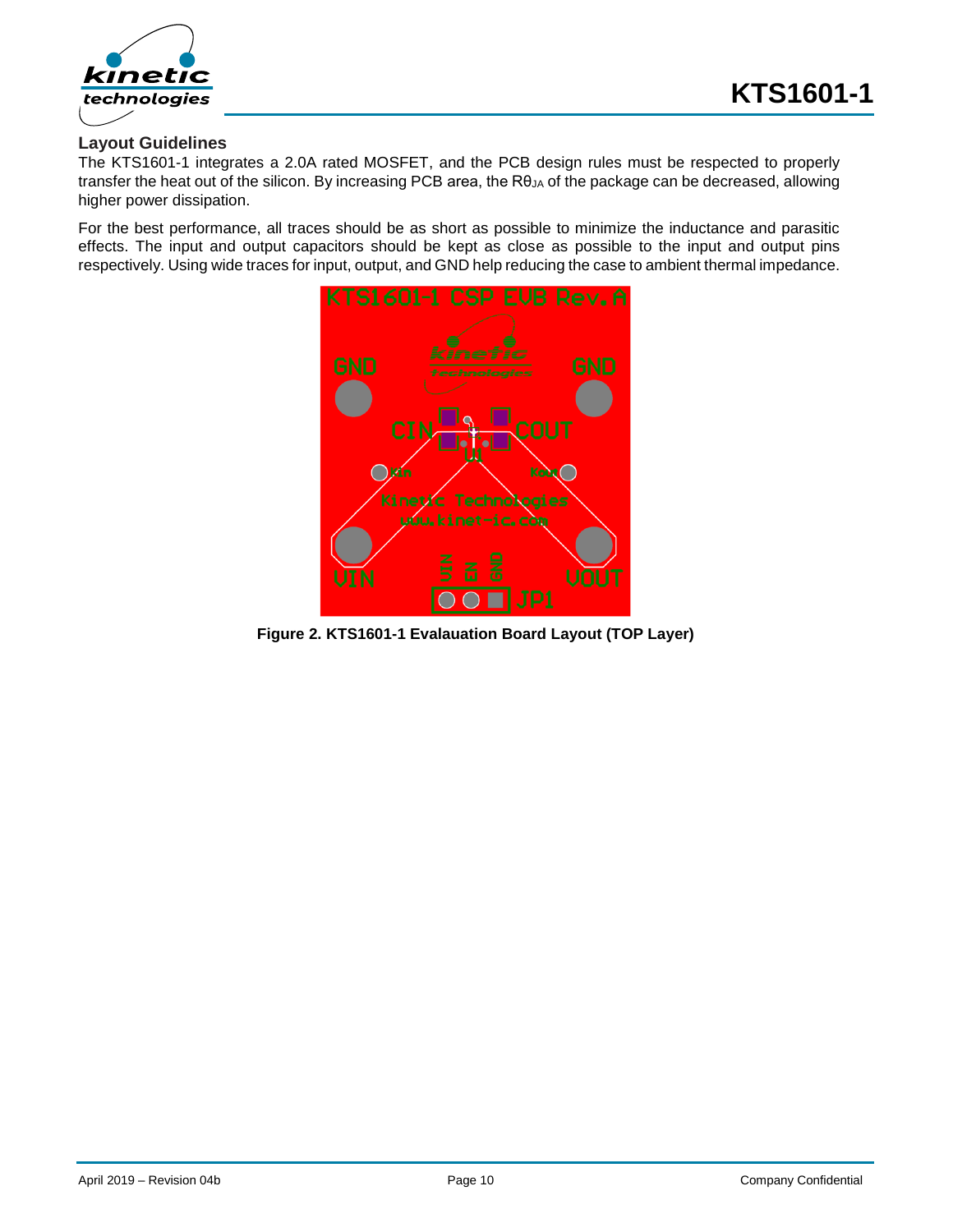

#### **Layout Guidelines**

The KTS1601-1 integrates a 2.0A rated MOSFET, and the PCB design rules must be respected to properly transfer the heat out of the silicon. By increasing PCB area, the RθJA of the package can be decreased, allowing higher power dissipation.

For the best performance, all traces should be as short as possible to minimize the inductance and parasitic effects. The input and output capacitors should be kept as close as possible to the input and output pins respectively. Using wide traces for input, output, and GND help reducing the case to ambient thermal impedance.



**Figure 2. KTS1601-1 Evalauation Board Layout (TOP Layer)**